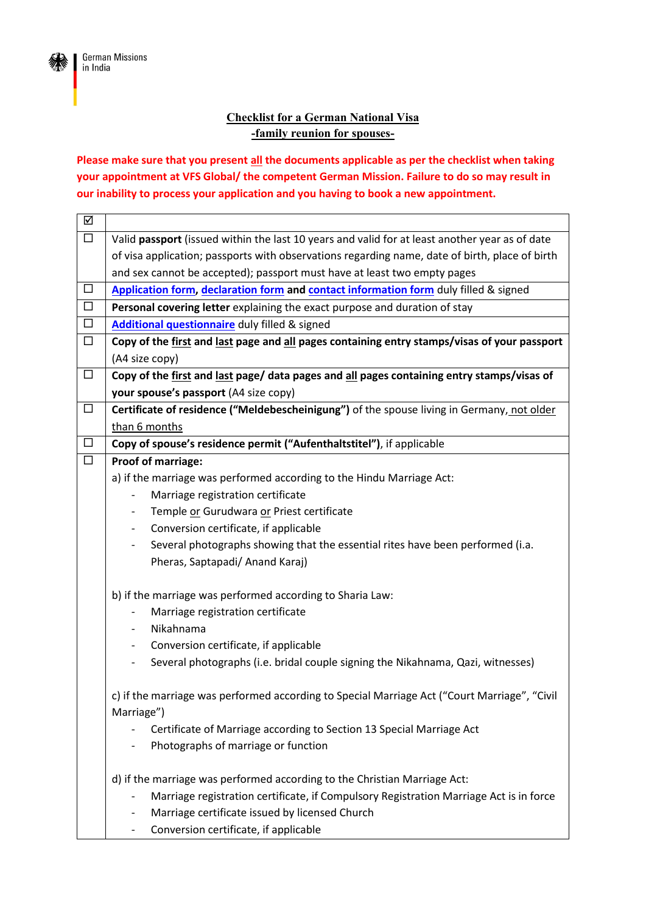

## **Checklist for a German National Visa -family reunion for spouses-**

**Please make sure that you present all the documents applicable as per the checklist when taking your appointment at VFS Global/ the competent German Mission. Failure to do so may result in our inability to process your application and you having to book a new appointment.**

| ☑      |                                                                                                |
|--------|------------------------------------------------------------------------------------------------|
| $\Box$ | Valid passport (issued within the last 10 years and valid for at least another year as of date |
|        | of visa application; passports with observations regarding name, date of birth, place of birth |
|        | and sex cannot be accepted); passport must have at least two empty pages                       |
| $\Box$ | Application form, declaration form and contact information form duly filled & signed           |
| $\Box$ | Personal covering letter explaining the exact purpose and duration of stay                     |
| $\Box$ | <b>Additional questionnaire</b> duly filled & signed                                           |
| $\Box$ | Copy of the first and last page and all pages containing entry stamps/visas of your passport   |
|        | (A4 size copy)                                                                                 |
| $\Box$ | Copy of the first and last page/ data pages and all pages containing entry stamps/visas of     |
|        | your spouse's passport (A4 size copy)                                                          |
| $\Box$ | Certificate of residence ("Meldebescheinigung") of the spouse living in Germany, not older     |
|        | than 6 months                                                                                  |
| $\Box$ | Copy of spouse's residence permit ("Aufenthaltstitel"), if applicable                          |
| $\Box$ | Proof of marriage:                                                                             |
|        | a) if the marriage was performed according to the Hindu Marriage Act:                          |
|        | Marriage registration certificate                                                              |
|        | Temple or Gurudwara or Priest certificate<br>$\overline{\phantom{0}}$                          |
|        | Conversion certificate, if applicable<br>-                                                     |
|        | Several photographs showing that the essential rites have been performed (i.a.<br>-            |
|        | Pheras, Saptapadi/ Anand Karaj)                                                                |
|        |                                                                                                |
|        | b) if the marriage was performed according to Sharia Law:                                      |
|        | Marriage registration certificate                                                              |
|        | Nikahnama<br>$\overline{\phantom{0}}$                                                          |
|        | Conversion certificate, if applicable<br>-                                                     |
|        | Several photographs (i.e. bridal couple signing the Nikahnama, Qazi, witnesses)<br>-           |
|        |                                                                                                |
|        | c) if the marriage was performed according to Special Marriage Act ("Court Marriage", "Civil   |
|        | Marriage")                                                                                     |
|        | Certificate of Marriage according to Section 13 Special Marriage Act                           |
|        | Photographs of marriage or function                                                            |
|        | d) if the marriage was performed according to the Christian Marriage Act:                      |
|        | Marriage registration certificate, if Compulsory Registration Marriage Act is in force         |
|        | Marriage certificate issued by licensed Church                                                 |
|        | Conversion certificate, if applicable                                                          |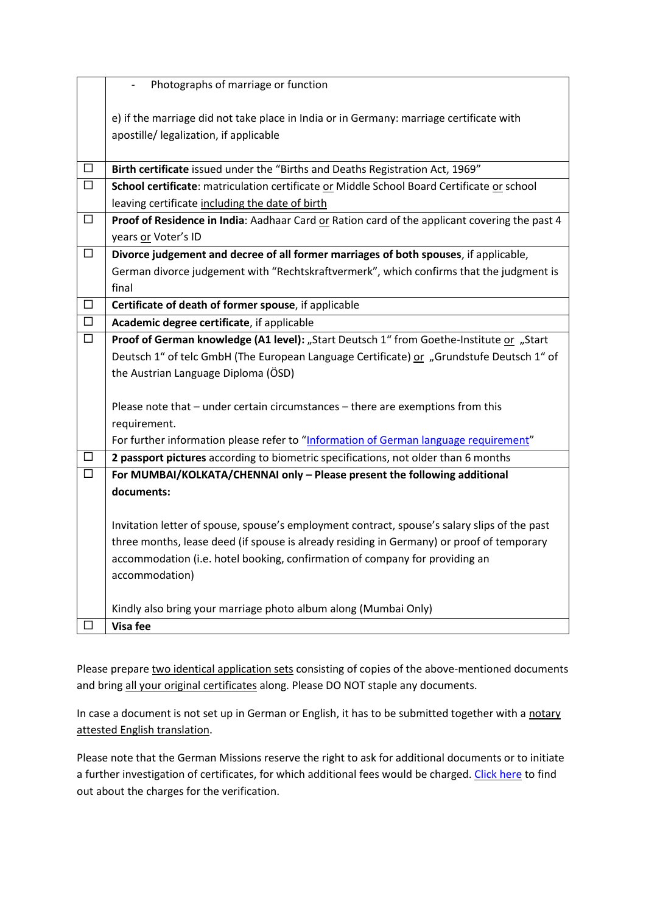|        | Photographs of marriage or function                                                           |
|--------|-----------------------------------------------------------------------------------------------|
|        | e) if the marriage did not take place in India or in Germany: marriage certificate with       |
|        | apostille/ legalization, if applicable                                                        |
|        |                                                                                               |
| $\Box$ | Birth certificate issued under the "Births and Deaths Registration Act, 1969"                 |
| $\Box$ | School certificate: matriculation certificate or Middle School Board Certificate or school    |
|        | leaving certificate including the date of birth                                               |
| □      | Proof of Residence in India: Aadhaar Card or Ration card of the applicant covering the past 4 |
|        | years or Voter's ID                                                                           |
| $\Box$ | Divorce judgement and decree of all former marriages of both spouses, if applicable,          |
|        | German divorce judgement with "Rechtskraftvermerk", which confirms that the judgment is       |
|        | final                                                                                         |
| $\Box$ | Certificate of death of former spouse, if applicable                                          |
| $\Box$ | Academic degree certificate, if applicable                                                    |
| $\Box$ | Proof of German knowledge (A1 level): "Start Deutsch 1" from Goethe-Institute or "Start       |
|        | Deutsch 1" of telc GmbH (The European Language Certificate) or "Grundstufe Deutsch 1" of      |
|        | the Austrian Language Diploma (ÖSD)                                                           |
|        | Please note that - under certain circumstances - there are exemptions from this               |
|        | requirement.                                                                                  |
|        | For further information please refer to "Information of German language requirement"          |
| □      | 2 passport pictures according to biometric specifications, not older than 6 months            |
| $\Box$ | For MUMBAI/KOLKATA/CHENNAI only - Please present the following additional                     |
|        | documents:                                                                                    |
|        |                                                                                               |
|        | Invitation letter of spouse, spouse's employment contract, spouse's salary slips of the past  |
|        | three months, lease deed (if spouse is already residing in Germany) or proof of temporary     |
|        | accommodation (i.e. hotel booking, confirmation of company for providing an                   |
|        | accommodation)                                                                                |
|        | Kindly also bring your marriage photo album along (Mumbai Only)                               |
|        | Visa fee                                                                                      |
|        |                                                                                               |

Please prepare two identical application sets consisting of copies of the above-mentioned documents and bring all your original certificates along. Please DO NOT staple any documents.

In case a document is not set up in German or English, it has to be submitted together with a notary attested English translation.

Please note that the German Missions reserve the right to ask for additional documents or to initiate a further investigation of certificates, for which additional fees would be charged. [Click here](https://india.diplo.de/in-en/service/documentverification/2004314) to find out about the charges for the verification.